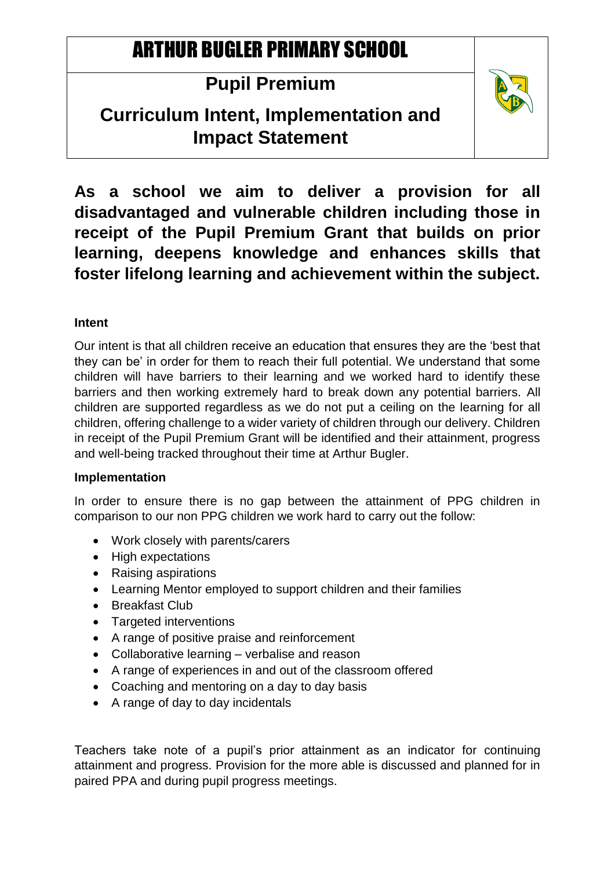# ARTHUR BUGLER PRIMARY SCHOOL

## **Pupil Premium**

### **Curriculum Intent, Implementation and Impact Statement**



**As a school we aim to deliver a provision for all disadvantaged and vulnerable children including those in receipt of the Pupil Premium Grant that builds on prior learning, deepens knowledge and enhances skills that foster lifelong learning and achievement within the subject.**

### **Intent**

Our intent is that all children receive an education that ensures they are the 'best that they can be' in order for them to reach their full potential. We understand that some children will have barriers to their learning and we worked hard to identify these barriers and then working extremely hard to break down any potential barriers. All children are supported regardless as we do not put a ceiling on the learning for all children, offering challenge to a wider variety of children through our delivery. Children in receipt of the Pupil Premium Grant will be identified and their attainment, progress and well-being tracked throughout their time at Arthur Bugler.

#### **Implementation**

In order to ensure there is no gap between the attainment of PPG children in comparison to our non PPG children we work hard to carry out the follow:

- Work closely with parents/carers
- High expectations
- Raising aspirations
- Learning Mentor employed to support children and their families
- Breakfast Club
- Targeted interventions
- A range of positive praise and reinforcement
- Collaborative learning verbalise and reason
- A range of experiences in and out of the classroom offered
- Coaching and mentoring on a day to day basis
- A range of day to day incidentals

Teachers take note of a pupil's prior attainment as an indicator for continuing attainment and progress. Provision for the more able is discussed and planned for in paired PPA and during pupil progress meetings.